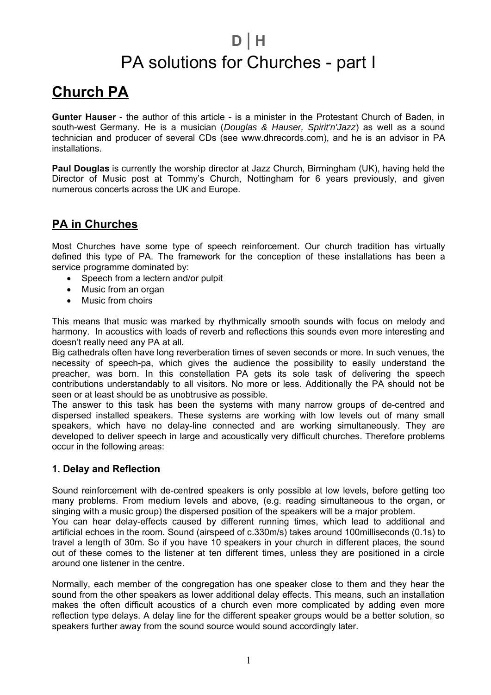## **D** | **H** PA solutions for Churches - part I

## **Church PA**

**Gunter Hauser** - the author of this article - is a minister in the Protestant Church of Baden, in south-west Germany. He is a musician (*Douglas & Hauser, Spirit'n'Jazz*) as well as a sound technician and producer of several CDs (see www.dhrecords.com), and he is an advisor in PA installations.

**Paul Douglas** is currently the worship director at Jazz Church, Birmingham (UK), having held the Director of Music post at Tommy's Church, Nottingham for 6 years previously, and given numerous concerts across the UK and Europe.

## **PA in Churches**

Most Churches have some type of speech reinforcement. Our church tradition has virtually defined this type of PA. The framework for the conception of these installations has been a service programme dominated by:

- Speech from a lectern and/or pulpit
- Music from an organ
- Music from choirs

This means that music was marked by rhythmically smooth sounds with focus on melody and harmony. In acoustics with loads of reverb and reflections this sounds even more interesting and doesn't really need any PA at all.

Big cathedrals often have long reverberation times of seven seconds or more. In such venues, the necessity of speech-pa, which gives the audience the possibility to easily understand the preacher, was born. In this constellation PA gets its sole task of delivering the speech contributions understandably to all visitors. No more or less. Additionally the PA should not be seen or at least should be as unobtrusive as possible.

The answer to this task has been the systems with many narrow groups of de-centred and dispersed installed speakers. These systems are working with low levels out of many small speakers, which have no delay-line connected and are working simultaneously. They are developed to deliver speech in large and acoustically very difficult churches. Therefore problems occur in the following areas:

#### **1. Delay and Reflection**

Sound reinforcement with de-centred speakers is only possible at low levels, before getting too many problems. From medium levels and above, (e.g. reading simultaneous to the organ, or singing with a music group) the dispersed position of the speakers will be a major problem.

You can hear delay-effects caused by different running times, which lead to additional and artificial echoes in the room. Sound (airspeed of c.330m/s) takes around 100milliseconds (0.1s) to travel a length of 30m. So if you have 10 speakers in your church in different places, the sound out of these comes to the listener at ten different times, unless they are positioned in a circle around one listener in the centre.

Normally, each member of the congregation has one speaker close to them and they hear the sound from the other speakers as lower additional delay effects. This means, such an installation makes the often difficult acoustics of a church even more complicated by adding even more reflection type delays. A delay line for the different speaker groups would be a better solution, so speakers further away from the sound source would sound accordingly later.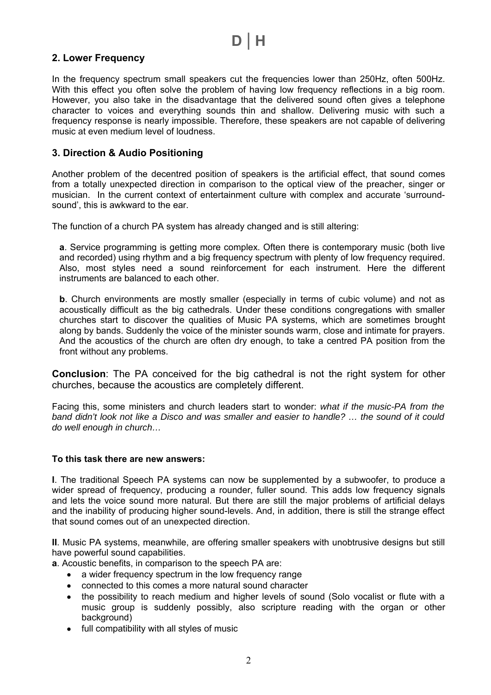#### **2. Lower Frequency**

In the frequency spectrum small speakers cut the frequencies lower than 250Hz, often 500Hz. With this effect you often solve the problem of having low frequency reflections in a big room. However, you also take in the disadvantage that the delivered sound often gives a telephone character to voices and everything sounds thin and shallow. Delivering music with such a frequency response is nearly impossible. Therefore, these speakers are not capable of delivering music at even medium level of loudness.

#### **3. Direction & Audio Positioning**

Another problem of the decentred position of speakers is the artificial effect, that sound comes from a totally unexpected direction in comparison to the optical view of the preacher, singer or musician. In the current context of entertainment culture with complex and accurate 'surroundsound', this is awkward to the ear.

The function of a church PA system has already changed and is still altering:

**a**. Service programming is getting more complex. Often there is contemporary music (both live and recorded) using rhythm and a big frequency spectrum with plenty of low frequency required. Also, most styles need a sound reinforcement for each instrument. Here the different instruments are balanced to each other.

**b**. Church environments are mostly smaller (especially in terms of cubic volume) and not as acoustically difficult as the big cathedrals. Under these conditions congregations with smaller churches start to discover the qualities of Music PA systems, which are sometimes brought along by bands. Suddenly the voice of the minister sounds warm, close and intimate for prayers. And the acoustics of the church are often dry enough, to take a centred PA position from the front without any problems.

**Conclusion**: The PA conceived for the big cathedral is not the right system for other churches, because the acoustics are completely different.

Facing this, some ministers and church leaders start to wonder: *what if the music-PA from the band didn't look not like a Disco and was smaller and easier to handle? … the sound of it could do well enough in church…*

#### **To this task there are new answers:**

**I**. The traditional Speech PA systems can now be supplemented by a subwoofer, to produce a wider spread of frequency, producing a rounder, fuller sound. This adds low frequency signals and lets the voice sound more natural. But there are still the major problems of artificial delays and the inability of producing higher sound-levels. And, in addition, there is still the strange effect that sound comes out of an unexpected direction.

**II**. Music PA systems, meanwhile, are offering smaller speakers with unobtrusive designs but still have powerful sound capabilities.

**a**. Acoustic benefits, in comparison to the speech PA are:

- a wider frequency spectrum in the low frequency range
- connected to this comes a more natural sound character
- the possibility to reach medium and higher levels of sound (Solo vocalist or flute with a music group is suddenly possibly, also scripture reading with the organ or other background)
- full compatibility with all styles of music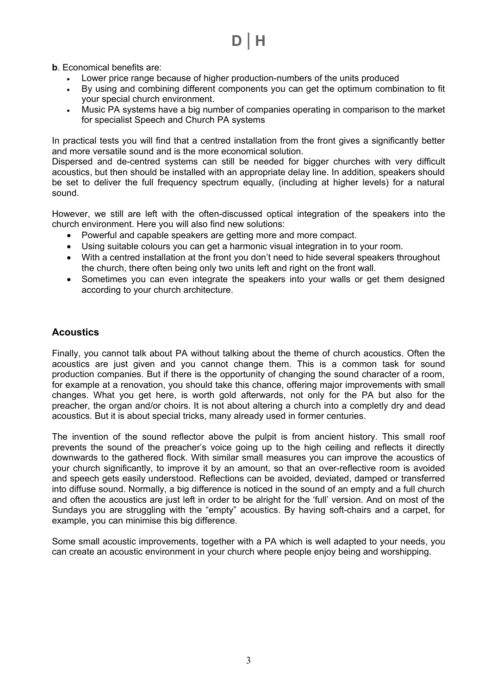## **D** | **H**

**b**. Economical benefits are:

- Lower price range because of higher production-numbers of the units produced
- By using and combining different components you can get the optimum combination to fit your special church environment.
- Music PA systems have a big number of companies operating in comparison to the market for specialist Speech and Church PA systems

In practical tests you will find that a centred installation from the front gives a significantly better and more versatile sound and is the more economical solution.

Dispersed and de-centred systems can still be needed for bigger churches with very difficult acoustics, but then should be installed with an appropriate delay line. In addition, speakers should be set to deliver the full frequency spectrum equally, (including at higher levels) for a natural sound.

However, we still are left with the often-discussed optical integration of the speakers into the church environment. Here you will also find new solutions:

- Powerful and capable speakers are getting more and more compact.
- Using suitable colours you can get a harmonic visual integration in to your room.
- With a centred installation at the front you don't need to hide several speakers throughout the church, there often being only two units left and right on the front wall.
- Sometimes you can even integrate the speakers into your walls or get them designed according to your church architecture.

#### **Acoustics**

Finally, you cannot talk about PA without talking about the theme of church acoustics. Often the acoustics are just given and you cannot change them. This is a common task for sound production companies. But if there is the opportunity of changing the sound character of a room, for example at a renovation, you should take this chance, offering major improvements with small changes. What you get here, is worth gold afterwards, not only for the PA but also for the preacher, the organ and/or choirs. It is not about altering a church into a completly dry and dead acoustics. But it is about special tricks, many already used in former centuries.

The invention of the sound reflector above the pulpit is from ancient history. This small roof prevents the sound of the preacher's voice going up to the high ceiling and reflects it directly downwards to the gathered flock. With similar small measures you can improve the acoustics of your church significantly, to improve it by an amount, so that an over-reflective room is avoided and speech gets easily understood. Reflections can be avoided, deviated, damped or transferred into diffuse sound. Normally, a big difference is noticed in the sound of an empty and a full church and often the acoustics are just left in order to be alright for the 'full' version. And on most of the Sundays you are struggling with the "empty" acoustics. By having soft-chairs and a carpet, for example, you can minimise this big difference.

Some small acoustic improvements, together with a PA which is well adapted to your needs, you can create an acoustic environment in your church where people enjoy being and worshipping.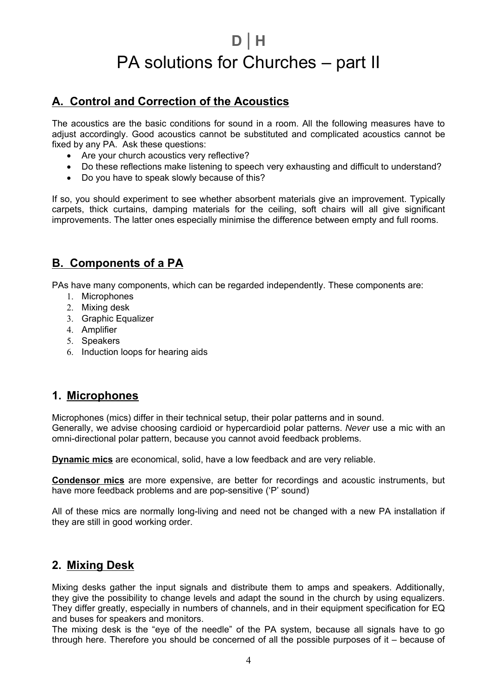# **D** | **H** PA solutions for Churches – part II

## **A. Control and Correction of the Acoustics**

The acoustics are the basic conditions for sound in a room. All the following measures have to adjust accordingly. Good acoustics cannot be substituted and complicated acoustics cannot be fixed by any PA. Ask these questions:

- Are your church acoustics very reflective?
- Do these reflections make listening to speech very exhausting and difficult to understand?
- Do you have to speak slowly because of this?

If so, you should experiment to see whether absorbent materials give an improvement. Typically carpets, thick curtains, damping materials for the ceiling, soft chairs will all give significant improvements. The latter ones especially minimise the difference between empty and full rooms.

## **B. Components of a PA**

PAs have many components, which can be regarded independently. These components are:

- 1. Microphones
- 2. Mixing desk
- 3. Graphic Equalizer
- 4. Amplifier
- 5. Speakers
- 6. Induction loops for hearing aids

## **1. Microphones**

Microphones (mics) differ in their technical setup, their polar patterns and in sound. Generally, we advise choosing cardioid or hypercardioid polar patterns. *Never* use a mic with an omni-directional polar pattern, because you cannot avoid feedback problems.

**Dynamic mics** are economical, solid, have a low feedback and are very reliable.

**Condensor mics** are more expensive, are better for recordings and acoustic instruments, but have more feedback problems and are pop-sensitive ('P' sound)

All of these mics are normally long-living and need not be changed with a new PA installation if they are still in good working order.

## **2. Mixing Desk**

Mixing desks gather the input signals and distribute them to amps and speakers. Additionally, they give the possibility to change levels and adapt the sound in the church by using equalizers. They differ greatly, especially in numbers of channels, and in their equipment specification for EQ and buses for speakers and monitors.

The mixing desk is the "eye of the needle" of the PA system, because all signals have to go through here. Therefore you should be concerned of all the possible purposes of it – because of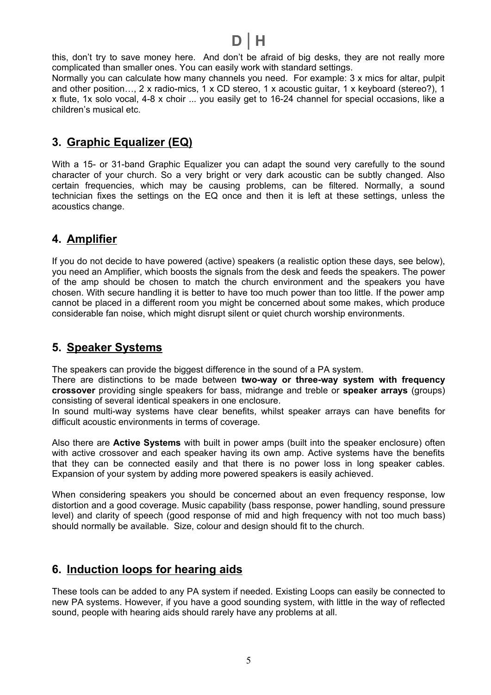$$
\mathsf{D} \mid \mathsf{H}
$$

this, don't try to save money here. And don't be afraid of big desks, they are not really more complicated than smaller ones. You can easily work with standard settings.

Normally you can calculate how many channels you need. For example: 3 x mics for altar, pulpit and other position…, 2 x radio-mics, 1 x CD stereo, 1 x acoustic guitar, 1 x keyboard (stereo?), 1 x flute, 1x solo vocal, 4-8 x choir ... you easily get to 16-24 channel for special occasions, like a children's musical etc.

### **3. Graphic Equalizer (EQ)**

With a 15- or 31-band Graphic Equalizer you can adapt the sound very carefully to the sound character of your church. So a very bright or very dark acoustic can be subtly changed. Also certain frequencies, which may be causing problems, can be filtered. Normally, a sound technician fixes the settings on the EQ once and then it is left at these settings, unless the acoustics change.

## **4. Amplifier**

If you do not decide to have powered (active) speakers (a realistic option these days, see below), you need an Amplifier, which boosts the signals from the desk and feeds the speakers. The power of the amp should be chosen to match the church environment and the speakers you have chosen. With secure handling it is better to have too much power than too little. If the power amp cannot be placed in a different room you might be concerned about some makes, which produce considerable fan noise, which might disrupt silent or quiet church worship environments.

#### **5. Speaker Systems**

The speakers can provide the biggest difference in the sound of a PA system.

There are distinctions to be made between **two-way or three-way system with frequency crossover** providing single speakers for bass, midrange and treble or **speaker arrays** (groups) consisting of several identical speakers in one enclosure.

In sound multi-way systems have clear benefits, whilst speaker arrays can have benefits for difficult acoustic environments in terms of coverage.

Also there are **Active Systems** with built in power amps (built into the speaker enclosure) often with active crossover and each speaker having its own amp. Active systems have the benefits that they can be connected easily and that there is no power loss in long speaker cables. Expansion of your system by adding more powered speakers is easily achieved.

When considering speakers you should be concerned about an even frequency response, low distortion and a good coverage. Music capability (bass response, power handling, sound pressure level) and clarity of speech (good response of mid and high frequency with not too much bass) should normally be available. Size, colour and design should fit to the church.

## **6. Induction loops for hearing aids**

These tools can be added to any PA system if needed. Existing Loops can easily be connected to new PA systems. However, if you have a good sounding system, with little in the way of reflected sound, people with hearing aids should rarely have any problems at all.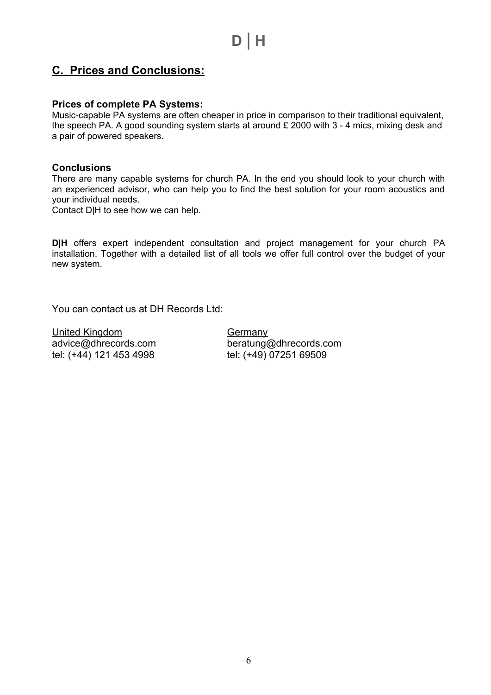## **C. Prices and Conclusions:**

#### **Prices of complete PA Systems:**

Music-capable PA systems are often cheaper in price in comparison to their traditional equivalent, the speech PA. A good sounding system starts at around £ 2000 with 3 - 4 mics, mixing desk and a pair of powered speakers.

#### **Conclusions**

There are many capable systems for church PA. In the end you should look to your church with an experienced advisor, who can help you to find the best solution for your room acoustics and your individual needs.

Contact D|H to see how we can help.

**D|H** offers expert independent consultation and project management for your church PA installation. Together with a detailed list of all tools we offer full control over the budget of your new system.

You can contact us at DH Records Ltd:

United Kingdom Germany tel: (+44) 121 453 4998 tel: (+49) 07251 69509

advice@dhrecords.com beratung@dhrecords.com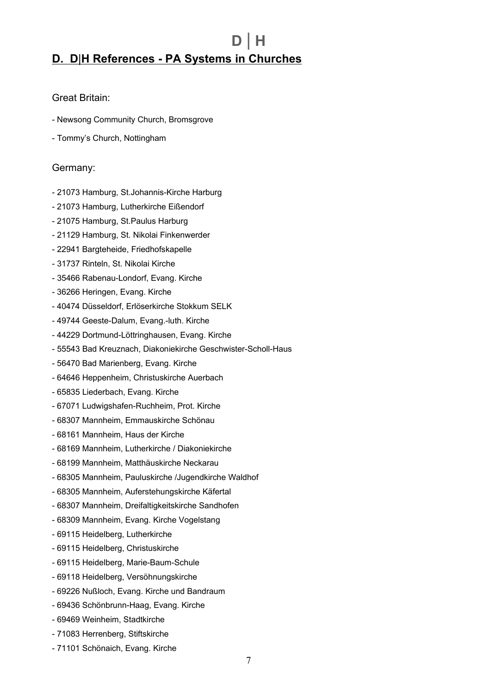## **D** | **H D. D**|**H References - PA Systems in Churches**

#### Great Britain:

- Newsong Community Church, Bromsgrove
- Tommy's Church, Nottingham

#### Germany:

- 21073 Hamburg, St.Johannis-Kirche Harburg
- 21073 Hamburg, Lutherkirche Eißendorf
- 21075 Hamburg, St.Paulus Harburg
- 21129 Hamburg, St. Nikolai Finkenwerder
- 22941 Bargteheide, Friedhofskapelle
- 31737 Rinteln, St. Nikolai Kirche
- 35466 Rabenau-Londorf, Evang. Kirche
- 36266 Heringen, Evang. Kirche
- 40474 Düsseldorf, Erlöserkirche Stokkum SELK
- 49744 Geeste-Dalum, Evang.-luth. Kirche
- 44229 Dortmund-Löttringhausen, Evang. Kirche
- 55543 Bad Kreuznach, Diakoniekirche Geschwister-Scholl-Haus
- 56470 Bad Marienberg, Evang. Kirche
- 64646 Heppenheim, Christuskirche Auerbach
- 65835 Liederbach, Evang. Kirche
- 67071 Ludwigshafen-Ruchheim, Prot. Kirche
- 68307 Mannheim, Emmauskirche Schönau
- 68161 Mannheim, Haus der Kirche
- 68169 Mannheim, Lutherkirche / Diakoniekirche
- 68199 Mannheim, Matthäuskirche Neckarau
- 68305 Mannheim, Pauluskirche /Jugendkirche Waldhof
- 68305 Mannheim, Auferstehungskirche Käfertal
- 68307 Mannheim, Dreifaltigkeitskirche Sandhofen
- 68309 Mannheim, Evang. Kirche Vogelstang
- 69115 Heidelberg, Lutherkirche
- 69115 Heidelberg, Christuskirche
- 69115 Heidelberg, Marie-Baum-Schule
- 69118 Heidelberg, Versöhnungskirche
- 69226 Nußloch, Evang. Kirche und Bandraum
- 69436 Schönbrunn-Haag, Evang. Kirche
- 69469 Weinheim, Stadtkirche
- 71083 Herrenberg, Stiftskirche
- 71101 Schönaich, Evang. Kirche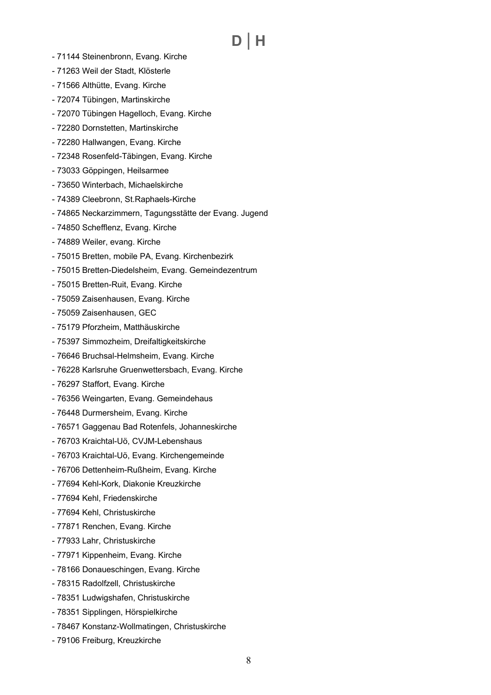# **D** | **H**

- 71144 Steinenbronn, Evang. Kirche
- 71263 Weil der Stadt, Klösterle
- 71566 Althütte, Evang. Kirche
- 72074 Tübingen, Martinskirche
- 72070 Tübingen Hagelloch, Evang. Kirche
- 72280 Dornstetten, Martinskirche
- 72280 Hallwangen, Evang. Kirche
- 72348 Rosenfeld-Täbingen, Evang. Kirche
- 73033 Göppingen, Heilsarmee
- 73650 Winterbach, Michaelskirche
- 74389 Cleebronn, St.Raphaels-Kirche
- 74865 Neckarzimmern, Tagungsstätte der Evang. Jugend
- 74850 Schefflenz, Evang. Kirche
- 74889 Weiler, evang. Kirche
- 75015 Bretten, mobile PA, Evang. Kirchenbezirk
- 75015 Bretten-Diedelsheim, Evang. Gemeindezentrum
- 75015 Bretten-Ruit, Evang. Kirche
- 75059 Zaisenhausen, Evang. Kirche
- 75059 Zaisenhausen, GEC
- 75179 Pforzheim, Matthäuskirche
- 75397 Simmozheim, Dreifaltigkeitskirche
- 76646 Bruchsal-Helmsheim, Evang. Kirche
- 76228 Karlsruhe Gruenwettersbach, Evang. Kirche
- 76297 Staffort, Evang. Kirche
- 76356 Weingarten, Evang. Gemeindehaus
- 76448 Durmersheim, Evang. Kirche
- 76571 Gaggenau Bad Rotenfels, Johanneskirche
- 76703 Kraichtal-Uö, CVJM-Lebenshaus
- 76703 Kraichtal-Uö, Evang. Kirchengemeinde
- 76706 Dettenheim-Rußheim, Evang. Kirche
- 77694 Kehl-Kork, Diakonie Kreuzkirche
- 77694 Kehl, Friedenskirche
- 77694 Kehl, Christuskirche
- 77871 Renchen, Evang. Kirche
- 77933 Lahr, Christuskirche
- 77971 Kippenheim, Evang. Kirche
- 78166 Donaueschingen, Evang. Kirche
- 78315 Radolfzell, Christuskirche
- 78351 Ludwigshafen, Christuskirche
- 78351 Sipplingen, Hörspielkirche
- 78467 Konstanz-Wollmatingen, Christuskirche
- 79106 Freiburg, Kreuzkirche